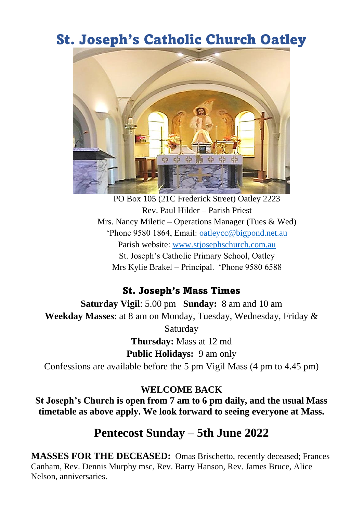# St. Joseph's Catholic Church Oatley



PO Box 105 (21C Frederick Street) Oatley 2223 Rev. Paul Hilder – Parish Priest Mrs. Nancy Miletic – Operations Manager (Tues & Wed) 'Phone 9580 1864, Email: [oatleycc@bigpond.net.au](mailto:oatleycc@bigpond.net.au) Parish website: [www.stjosephschurch.com.au](http://www.stjosephschurch.com.au/) St. Joseph's Catholic Primary School, Oatley Mrs Kylie Brakel – Principal. 'Phone 9580 6588

### St. Joseph's Mass Times

**Saturday Vigil**: 5.00 pm **Sunday:** 8 am and 10 am **Weekday Masses**: at 8 am on Monday, Tuesday, Wednesday, Friday & Saturday **Thursday:** Mass at 12 md **Public Holidays:** 9 am only Confessions are available before the 5 pm Vigil Mass (4 pm to 4.45 pm)

#### **WELCOME BACK**

**St Joseph's Church is open from 7 am to 6 pm daily, and the usual Mass timetable as above apply. We look forward to seeing everyone at Mass.**

## **Pentecost Sunday – 5th June 2022**

**MASSES FOR THE DECEASED:** Omas Brischetto, recently deceased; Frances Canham, Rev. Dennis Murphy msc, Rev. Barry Hanson, Rev. James Bruce, Alice Nelson, anniversaries.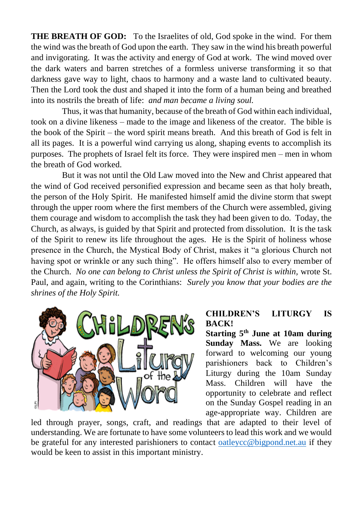**THE BREATH OF GOD:** To the Israelites of old, God spoke in the wind. For them the wind was the breath of God upon the earth. They saw in the wind his breath powerful and invigorating. It was the activity and energy of God at work. The wind moved over the dark waters and barren stretches of a formless universe transforming it so that darkness gave way to light, chaos to harmony and a waste land to cultivated beauty. Then the Lord took the dust and shaped it into the form of a human being and breathed into its nostrils the breath of life: *and man became a living soul.*

Thus, it was that humanity, because of the breath of God within each individual, took on a divine likeness – made to the image and likeness of the creator. The bible is the book of the Spirit – the word spirit means breath. And this breath of God is felt in all its pages. It is a powerful wind carrying us along, shaping events to accomplish its purposes. The prophets of Israel felt its force. They were inspired men – men in whom the breath of God worked.

But it was not until the Old Law moved into the New and Christ appeared that the wind of God received personified expression and became seen as that holy breath, the person of the Holy Spirit. He manifested himself amid the divine storm that swept through the upper room where the first members of the Church were assembled, giving them courage and wisdom to accomplish the task they had been given to do. Today, the Church, as always, is guided by that Spirit and protected from dissolution. It is the task of the Spirit to renew its life throughout the ages. He is the Spirit of holiness whose presence in the Church, the Mystical Body of Christ, makes it "a glorious Church not having spot or wrinkle or any such thing". He offers himself also to every member of the Church. *No one can belong to Christ unless the Spirit of Christ is within,* wrote St. Paul, and again, writing to the Corinthians: *Surely you know that your bodies are the shrines of the Holy Spirit.*



#### **CHILDREN'S LITURGY IS BACK!**

**Starting 5th June at 10am during Sunday Mass.** We are looking forward to welcoming our young parishioners back to Children's Liturgy during the 10am Sunday Mass. Children will have the opportunity to celebrate and reflect on the Sunday Gospel reading in an age-appropriate way. Children are

led through prayer, songs, craft, and readings that are adapted to their level of understanding. We are fortunate to have some volunteers to lead this work and we would be grateful for any interested parishioners to contact [oatleycc@bigpond.net.au](mailto:oatleycc@bigpond.net.au) if they would be keen to assist in this important ministry.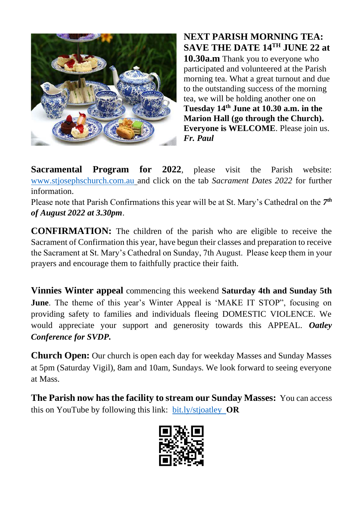

**NEXT PARISH MORNING TEA: SAVE THE DATE 14 TH JUNE 22 at 10.30a.m** Thank you to everyone who participated and volunteered at the Parish morning tea. What a great turnout and due to the outstanding success of the morning tea, we will be holding another one on **Tuesday 14 th June at 10.30 a.m. in the Marion Hall (go through the Church). Everyone is WELCOME**. Please join us. *Fr. Paul*

**Sacramental Program for 2022**, please visit the Parish website: [www.stjosephschurch.com.au](http://www.stjosephschurch.com.au/) and click on the tab *Sacrament Dates 2022* for further information.

Please note that Parish Confirmations this year will be at St. Mary's Cathedral on the *7 th of August 2022 at 3.30pm*.

**CONFIRMATION:** The children of the parish who are eligible to receive the Sacrament of Confirmation this year, have begun their classes and preparation to receive the Sacrament at St. Mary's Cathedral on Sunday, 7th August. Please keep them in your prayers and encourage them to faithfully practice their faith.

**Vinnies Winter appeal** commencing this weekend **Saturday 4th and Sunday 5th June**. The theme of this year's Winter Appeal is 'MAKE IT STOP", focusing on providing safety to families and individuals fleeing DOMESTIC VIOLENCE. We would appreciate your support and generosity towards this APPEAL. *Oatley Conference for SVDP.*

**Church Open:** Our church is open each day for weekday Masses and Sunday Masses at 5pm (Saturday Vigil), 8am and 10am, Sundays. We look forward to seeing everyone at Mass.

**The Parish now has the facility to stream our Sunday Masses:** You can access this on YouTube by following this link: [bit.ly/stjoatley](http://bit.ly/stjoatley) **OR**